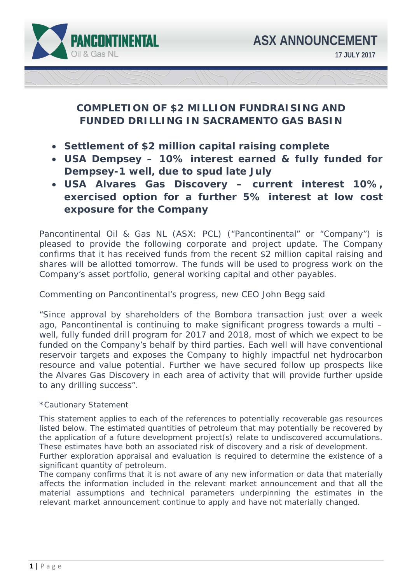

# **COMPLETION OF \$2 MILLION FUNDRAISING AND FUNDED DRILLING IN SACRAMENTO GAS BASIN**

- **Settlement of \$2 million capital raising complete**
- **USA Dempsey 10% interest earned & fully funded for Dempsey-1 well, due to spud late July**
- **USA Alvares Gas Discovery current interest 10%, exercised option for a further 5% interest at low cost exposure for the Company**

Pancontinental Oil & Gas NL (ASX: PCL) ("Pancontinental" or "Company") is pleased to provide the following corporate and project update. The Company confirms that it has received funds from the recent \$2 million capital raising and shares will be allotted tomorrow. The funds will be used to progress work on the Company's asset portfolio, general working capital and other payables.

Commenting on Pancontinental's progress, new CEO John Begg said

"*Since approval by shareholders of the Bombora transaction just over a week ago, Pancontinental is continuing to make significant progress towards a multi – well, fully funded drill program for 2017 and 2018, most of which we expect to be*  funded on the Company's behalf by third parties. Each well will have conventional *reservoir targets and exposes the Company to highly impactful net hydrocarbon resource and value potential. Further we have secured follow up prospects like the Alvares Gas Discovery in each area of activity that will provide further upside to any drilling success".* 

# *\*Cautionary Statement*

*This statement applies to each of the references to potentially recoverable gas resources listed below. The estimated quantities of petroleum that may potentially be recovered by the application of a future development project(s) relate to undiscovered accumulations. These estimates have both an associated risk of discovery and a risk of development. Further exploration appraisal and evaluation is required to determine the existence of a significant quantity of petroleum.* 

*The company confirms that it is not aware of any new information or data that materially affects the information included in the relevant market announcement and that all the material assumptions and technical parameters underpinning the estimates in the relevant market announcement continue to apply and have not materially changed.*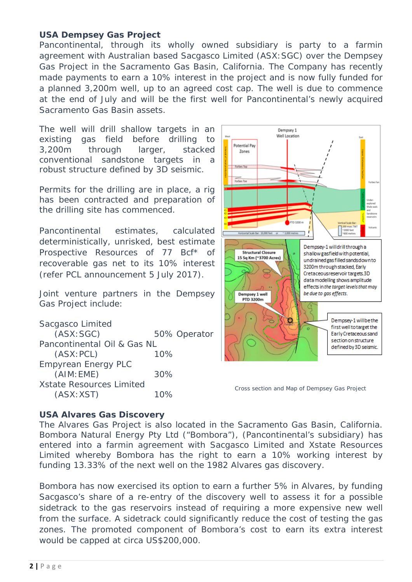# **USA Dempsey Gas Project**

Pancontinental, through its wholly owned subsidiary is party to a farmin agreement with Australian based Sacgasco Limited (ASX:SGC) over the Dempsey Gas Project in the Sacramento Gas Basin, California. The Company has recently made payments to earn a 10% interest in the project and is now fully funded for a planned 3,200m well, up to an agreed cost cap. The well is due to commence at the end of July and will be the first well for Pancontinental's newly acquired Sacramento Gas Basin assets.

The well will drill shallow targets in an existing gas field before drilling to 3,200m through larger, stacked conventional sandstone targets in a robust structure defined by 3D seismic.

Permits for the drilling are in place, a rig has been contracted and preparation of the drilling site has commenced.

Pancontinental estimates, calculated deterministically, unrisked, best estimate Prospective Resources of 77 Bcf\* of recoverable gas net to its 10% interest (refer PCL announcement 5 July 2017).

Joint venture partners in the Dempsey Gas Project include:

Sacgasco Limited (ASX:SGC) 50% Operator Pancontinental Oil & Gas NL (ASX:PCL) 10% Empyrean Energy PLC (AIM:EME) 30% Xstate Resources Limited (ASX:XST) 10%



Cross section and Map of Dempsey Gas Project

# **USA Alvares Gas Discovery**

The Alvares Gas Project is also located in the Sacramento Gas Basin, California. Bombora Natural Energy Pty Ltd ("Bombora"), (Pancontinental's subsidiary) has entered into a farmin agreement with Sacgasco Limited and Xstate Resources Limited whereby Bombora has the right to earn a 10% working interest by funding 13.33% of the next well on the 1982 Alvares gas discovery.

Bombora has now exercised its option to earn a further 5% in Alvares, by funding Sacgasco's share of a re-entry of the discovery well to assess it for a possible sidetrack to the gas reservoirs instead of requiring a more expensive new well from the surface. A sidetrack could significantly reduce the cost of testing the gas zones. The promoted component of Bombora's cost to earn its extra interest would be capped at circa US\$200,000.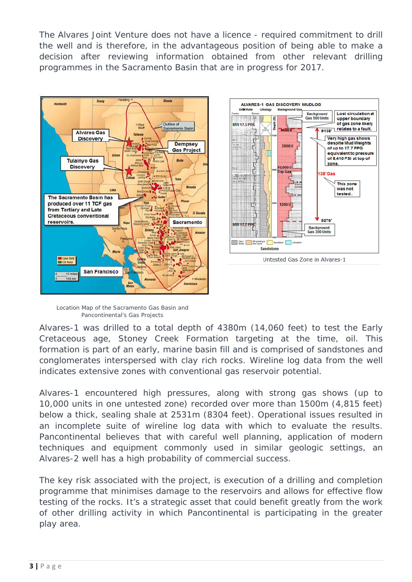The Alvares Joint Venture does not have a licence - required commitment to drill the well and is therefore, in the advantageous position of being able to make a decision after reviewing information obtained from other relevant drilling programmes in the Sacramento Basin that are in progress for 2017.





Location Map of the Sacramento Gas Basin and Pancontinental's Gas Projects

Alvares-1 was drilled to a total depth of 4380m (14,060 feet) to test the Early Cretaceous age, Stoney Creek Formation targeting at the time, oil. This formation is part of an early, marine basin fill and is comprised of sandstones and conglomerates interspersed with clay rich rocks. Wireline log data from the well indicates extensive zones with conventional gas reservoir potential.

Alvares-1 encountered high pressures, along with strong gas shows (up to 10,000 units in one untested zone) recorded over more than 1500m (4,815 feet) below a thick, sealing shale at 2531m (8304 feet). Operational issues resulted in an incomplete suite of wireline log data with which to evaluate the results. Pancontinental believes that with careful well planning, application of modern techniques and equipment commonly used in similar geologic settings, an Alvares-2 well has a high probability of commercial success.

The key risk associated with the project, is execution of a drilling and completion programme that minimises damage to the reservoirs and allows for effective flow testing of the rocks. It's a strategic asset that could benefit greatly from the work of other drilling activity in which Pancontinental is participating in the greater play area.